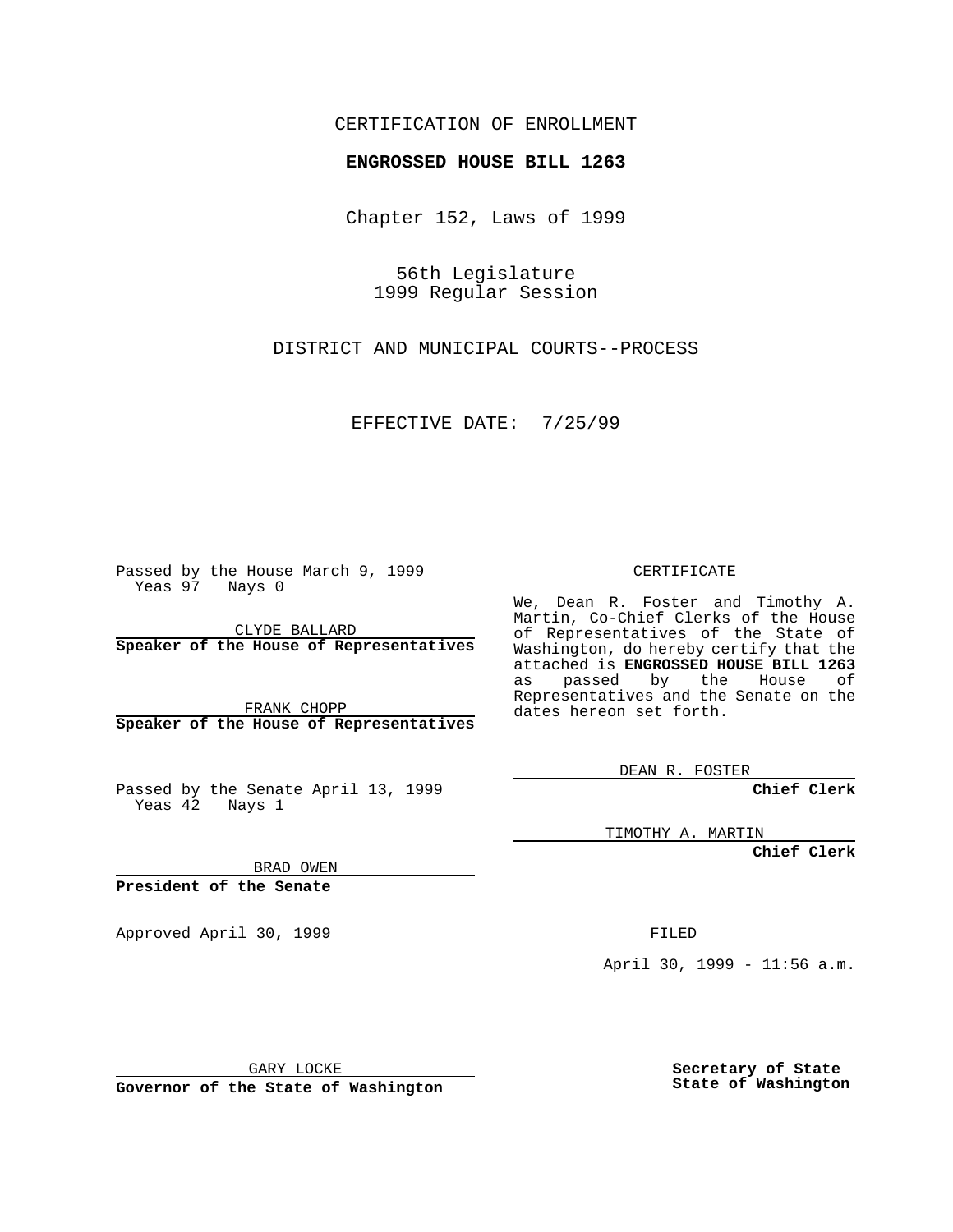## CERTIFICATION OF ENROLLMENT

## **ENGROSSED HOUSE BILL 1263**

Chapter 152, Laws of 1999

56th Legislature 1999 Regular Session

DISTRICT AND MUNICIPAL COURTS--PROCESS

EFFECTIVE DATE: 7/25/99

Passed by the House March 9, 1999 Yeas 97 Nays 0

CLYDE BALLARD **Speaker of the House of Representatives**

FRANK CHOPP **Speaker of the House of Representatives**

Passed by the Senate April 13, 1999 Yeas 42 Nays 1

CERTIFICATE

We, Dean R. Foster and Timothy A. Martin, Co-Chief Clerks of the House of Representatives of the State of Washington, do hereby certify that the attached is **ENGROSSED HOUSE BILL 1263** as passed by the House of Representatives and the Senate on the dates hereon set forth.

DEAN R. FOSTER

**Chief Clerk**

TIMOTHY A. MARTIN

**Chief Clerk**

BRAD OWEN

**President of the Senate**

Approved April 30, 1999 **FILED** 

April 30, 1999 - 11:56 a.m.

GARY LOCKE

**Governor of the State of Washington**

**Secretary of State State of Washington**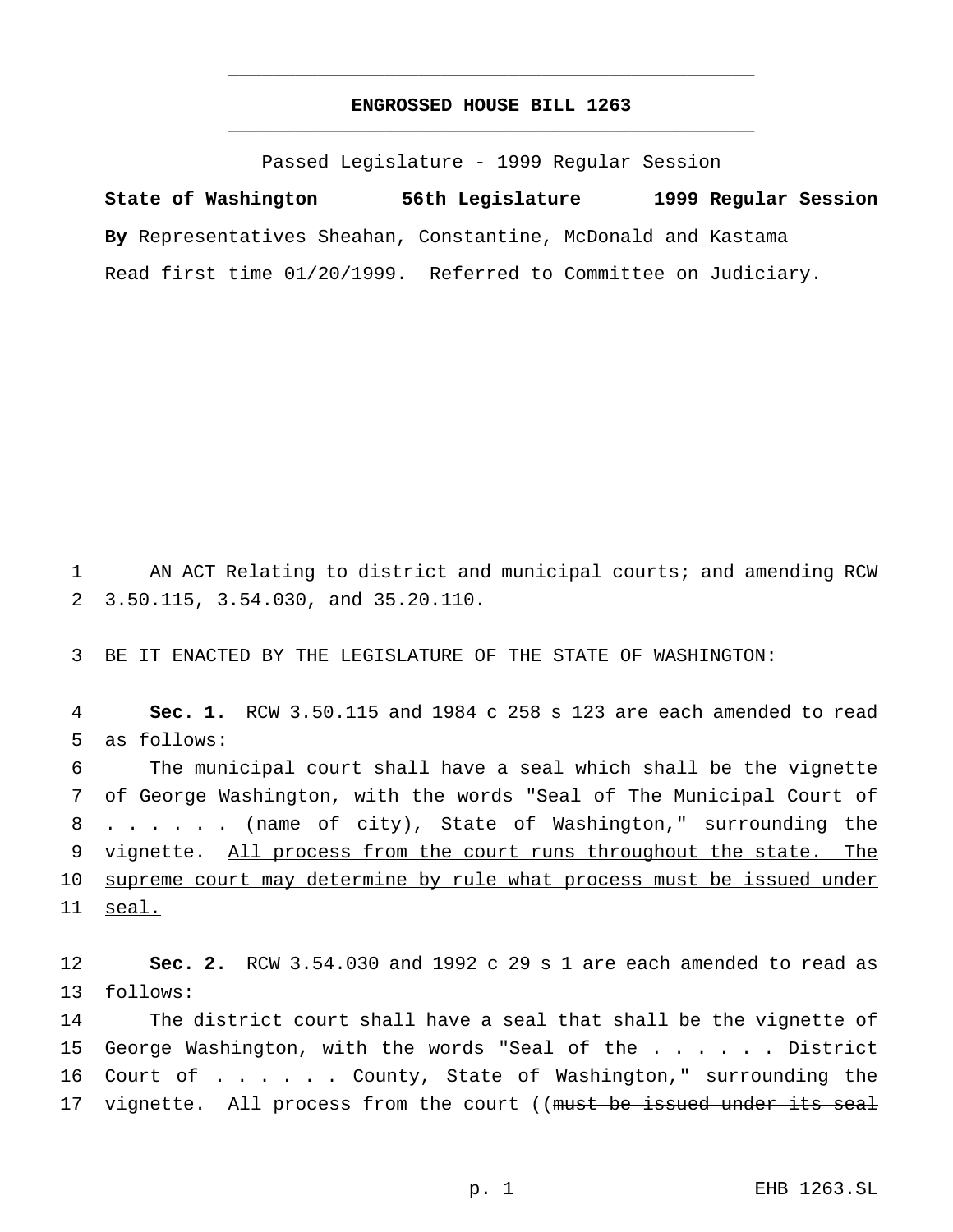## **ENGROSSED HOUSE BILL 1263** \_\_\_\_\_\_\_\_\_\_\_\_\_\_\_\_\_\_\_\_\_\_\_\_\_\_\_\_\_\_\_\_\_\_\_\_\_\_\_\_\_\_\_\_\_\_\_

\_\_\_\_\_\_\_\_\_\_\_\_\_\_\_\_\_\_\_\_\_\_\_\_\_\_\_\_\_\_\_\_\_\_\_\_\_\_\_\_\_\_\_\_\_\_\_

Passed Legislature - 1999 Regular Session

**State of Washington 56th Legislature 1999 Regular Session By** Representatives Sheahan, Constantine, McDonald and Kastama Read first time 01/20/1999. Referred to Committee on Judiciary.

1 AN ACT Relating to district and municipal courts; and amending RCW 2 3.50.115, 3.54.030, and 35.20.110.

3 BE IT ENACTED BY THE LEGISLATURE OF THE STATE OF WASHINGTON:

4 **Sec. 1.** RCW 3.50.115 and 1984 c 258 s 123 are each amended to read 5 as follows:

6 The municipal court shall have a seal which shall be the vignette 7 of George Washington, with the words "Seal of The Municipal Court of 8 ...... (name of city), State of Washington," surrounding the 9 vignette. All process from the court runs throughout the state. The 10 supreme court may determine by rule what process must be issued under 11 seal.

12 **Sec. 2.** RCW 3.54.030 and 1992 c 29 s 1 are each amended to read as 13 follows:

14 The district court shall have a seal that shall be the vignette of 15 George Washington, with the words "Seal of the . . . . . District 16 Court of . . . . . County, State of Washington," surrounding the 17 vignette. All process from the court ((must be issued under its seal